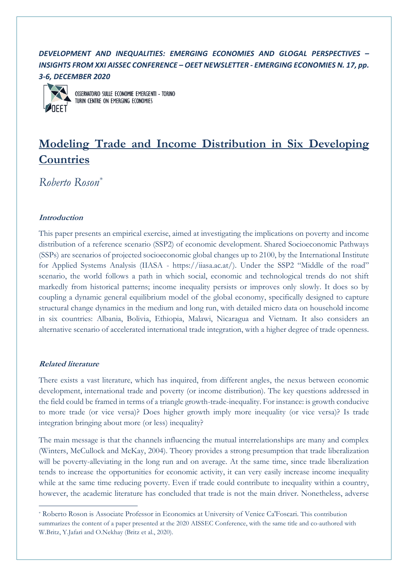# *DEVELOPMENT AND INEQUALITIES: EMERGING ECONOMIES AND GLOGAL PERSPECTIVES – INSIGHTS FROM XXI AISSEC CONFERENCE – OEET NEWSLETTER - EMERGING ECONOMIES N. 17, pp. 3-6, DECEMBER 2020*



OSSERVATORIO SULLE ECONOMIE EMERGENTI - TORINO TURIN CENTRE ON EMERGING ECONOMIES

# **Modeling Trade and Income Distribution in Six Developing Countries**

*Roberto Roson\**

## **Introduction**

This paper presents an empirical exercise, aimed at investigating the implications on poverty and income distribution of a reference scenario (SSP2) of economic development. Shared Socioeconomic Pathways (SSPs) are scenarios of projected socioeconomic global changes up to 2100, by the International Institute for Applied Systems Analysis (IIASA - https://iiasa.ac.at/). Under the SSP2 "Middle of the road" scenario, the world follows a path in which social, economic and technological trends do not shift markedly from historical patterns; income inequality persists or improves only slowly. It does so by coupling a dynamic general equilibrium model of the global economy, specifically designed to capture structural change dynamics in the medium and long run, with detailed micro data on household income in six countries: Albania, Bolivia, Ethiopia, Malawi, Nicaragua and Vietnam. It also considers an alternative scenario of accelerated international trade integration, with a higher degree of trade openness.

### **Related literature**

There exists a vast literature, which has inquired, from different angles, the nexus between economic development, international trade and poverty (or income distribution). The key questions addressed in the field could be framed in terms of a triangle growth-trade-inequality. For instance: is growth conducive to more trade (or vice versa)? Does higher growth imply more inequality (or vice versa)? Is trade integration bringing about more (or less) inequality?

The main message is that the channels influencing the mutual interrelationships are many and complex (Winters, McCullock and McKay, 2004). Theory provides a strong presumption that trade liberalization will be poverty-alleviating in the long run and on average. At the same time, since trade liberalization tends to increase the opportunities for economic activity, it can very easily increase income inequality while at the same time reducing poverty. Even if trade could contribute to inequality within a country, however, the academic literature has concluded that trade is not the main driver. Nonetheless, adverse

<sup>\*</sup> Roberto Roson is Associate Professor in Economics at University of Venice Ca'Foscari. This contribution summarizes the content of a paper presented at the 2020 AISSEC Conference, with the same title and co-authored with W.Britz, Y.Jafari and O.Nekhay (Britz et al., 2020).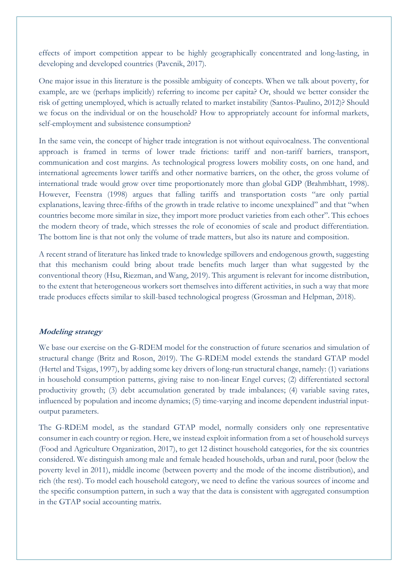effects of import competition appear to be highly geographically concentrated and long-lasting, in developing and developed countries (Pavcnik, 2017).

One major issue in this literature is the possible ambiguity of concepts. When we talk about poverty, for example, are we (perhaps implicitly) referring to income per capita? Or, should we better consider the risk of getting unemployed, which is actually related to market instability (Santos-Paulino, 2012)? Should we focus on the individual or on the household? How to appropriately account for informal markets, self-employment and subsistence consumption?

In the same vein, the concept of higher trade integration is not without equivocalness. The conventional approach is framed in terms of lower trade frictions: tariff and non-tariff barriers, transport, communication and cost margins. As technological progress lowers mobility costs, on one hand, and international agreements lower tariffs and other normative barriers, on the other, the gross volume of international trade would grow over time proportionately more than global GDP (Brahmbhatt, 1998). However, Feenstra (1998) argues that falling tariffs and transportation costs "are only partial explanations, leaving three-fifths of the growth in trade relative to income unexplained" and that "when countries become more similar in size, they import more product varieties from each other". This echoes the modern theory of trade, which stresses the role of economies of scale and product differentiation. The bottom line is that not only the volume of trade matters, but also its nature and composition.

A recent strand of literature has linked trade to knowledge spillovers and endogenous growth, suggesting that this mechanism could bring about trade benefits much larger than what suggested by the conventional theory (Hsu, Riezman, and Wang, 2019). This argument is relevant for income distribution, to the extent that heterogeneous workers sort themselves into different activities, in such a way that more trade produces effects similar to skill-based technological progress (Grossman and Helpman, 2018).

#### **Modeling strategy**

We base our exercise on the G-RDEM model for the construction of future scenarios and simulation of structural change (Britz and Roson, 2019). The G-RDEM model extends the standard GTAP model (Hertel and Tsigas, 1997), by adding some key drivers of long-run structural change, namely: (1) variations in household consumption patterns, giving raise to non-linear Engel curves; (2) differentiated sectoral productivity growth; (3) debt accumulation generated by trade imbalances; (4) variable saving rates, influenced by population and income dynamics; (5) time-varying and income dependent industrial inputoutput parameters.

The G-RDEM model, as the standard GTAP model, normally considers only one representative consumer in each country or region. Here, we instead exploit information from a set of household surveys (Food and Agriculture Organization, 2017), to get 12 distinct household categories, for the six countries considered. We distinguish among male and female headed households, urban and rural, poor (below the poverty level in 2011), middle income (between poverty and the mode of the income distribution), and rich (the rest). To model each household category, we need to define the various sources of income and the specific consumption pattern, in such a way that the data is consistent with aggregated consumption in the GTAP social accounting matrix.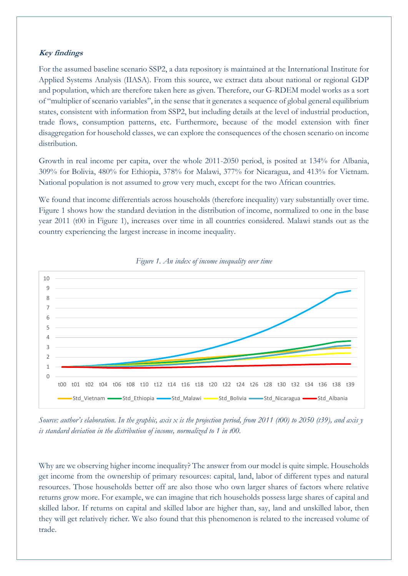### **Key findings**

For the assumed baseline scenario SSP2, a data repository is maintained at the International Institute for Applied Systems Analysis (IIASA). From this source, we extract data about national or regional GDP and population, which are therefore taken here as given. Therefore, our G-RDEM model works as a sort of "multiplier of scenario variables", in the sense that it generates a sequence of global general equilibrium states, consistent with information from SSP2, but including details at the level of industrial production, trade flows, consumption patterns, etc. Furthermore, because of the model extension with finer disaggregation for household classes, we can explore the consequences of the chosen scenario on income distribution.

Growth in real income per capita, over the whole 2011-2050 period, is posited at 134% for Albania, 309% for Bolivia, 480% for Ethiopia, 378% for Malawi, 377% for Nicaragua, and 413% for Vietnam. National population is not assumed to grow very much, except for the two African countries.

We found that income differentials across households (therefore inequality) vary substantially over time. Figure 1 shows how the standard deviation in the distribution of income, normalized to one in the base year 2011 (t00 in Figure 1), increases over time in all countries considered. Malawi stands out as the country experiencing the largest increase in income inequality.





*Source: author's elaboration. In the graphic, axis x is the projection period, from 2011 (t00) to 2050 (t39), and axis y is standard deviation in the distribution of income, normalized to 1 in t00.*

Why are we observing higher income inequality? The answer from our model is quite simple. Households get income from the ownership of primary resources: capital, land, labor of different types and natural resources. Those households better off are also those who own larger shares of factors where relative returns grow more. For example, we can imagine that rich households possess large shares of capital and skilled labor. If returns on capital and skilled labor are higher than, say, land and unskilled labor, then they will get relatively richer. We also found that this phenomenon is related to the increased volume of trade.